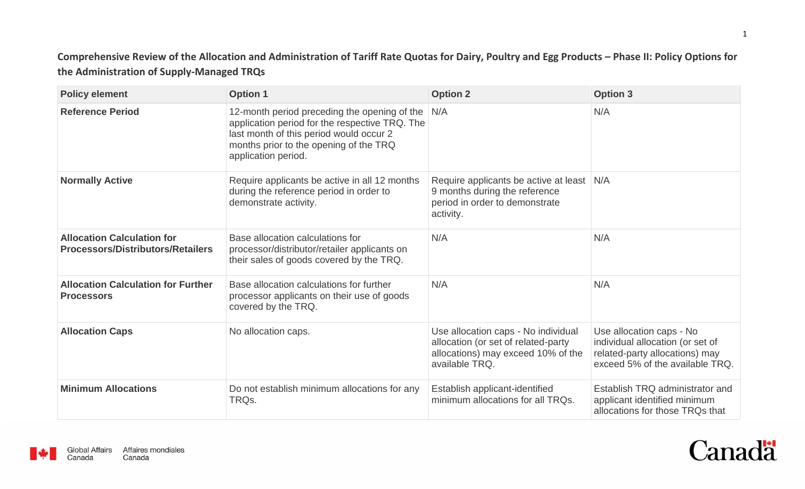Comprehensive Review of the Allocation and Administration of Tariff Rate Quotas for Dairy, Poultry and Egg Products - Phase II: Policy Options for **the Administration of Supply-Managed TRQs**

| <b>Policy element</b>                                                         | <b>Option 1</b>                                                                                                                                                                                            | <b>Option 2</b>                                                                                                                    | <b>Option 3</b>                                                                                                                   |
|-------------------------------------------------------------------------------|------------------------------------------------------------------------------------------------------------------------------------------------------------------------------------------------------------|------------------------------------------------------------------------------------------------------------------------------------|-----------------------------------------------------------------------------------------------------------------------------------|
| <b>Reference Period</b>                                                       | 12-month period preceding the opening of the<br>application period for the respective TRQ. The<br>last month of this period would occur 2<br>months prior to the opening of the TRQ<br>application period. | N/A                                                                                                                                | N/A                                                                                                                               |
| <b>Normally Active</b>                                                        | Require applicants be active in all 12 months<br>during the reference period in order to<br>demonstrate activity.                                                                                          | Require applicants be active at least<br>9 months during the reference<br>period in order to demonstrate<br>activity.              | N/A                                                                                                                               |
| <b>Allocation Calculation for</b><br><b>Processors/Distributors/Retailers</b> | Base allocation calculations for<br>processor/distributor/retailer applicants on<br>their sales of goods covered by the TRQ.                                                                               | N/A                                                                                                                                | N/A                                                                                                                               |
| <b>Allocation Calculation for Further</b><br><b>Processors</b>                | Base allocation calculations for further<br>processor applicants on their use of goods<br>covered by the TRQ.                                                                                              | N/A                                                                                                                                | N/A                                                                                                                               |
| <b>Allocation Caps</b>                                                        | No allocation caps.                                                                                                                                                                                        | Use allocation caps - No individual<br>allocation (or set of related-party<br>allocations) may exceed 10% of the<br>available TRQ. | Use allocation caps - No<br>individual allocation (or set of<br>related-party allocations) may<br>exceed 5% of the available TRQ. |
| <b>Minimum Allocations</b>                                                    | Do not establish minimum allocations for any<br>TRQ <sub>s</sub> .                                                                                                                                         | Establish applicant-identified<br>minimum allocations for all TRQs.                                                                | Establish TRQ administrator and<br>applicant identified minimum<br>allocations for those TRQs that                                |



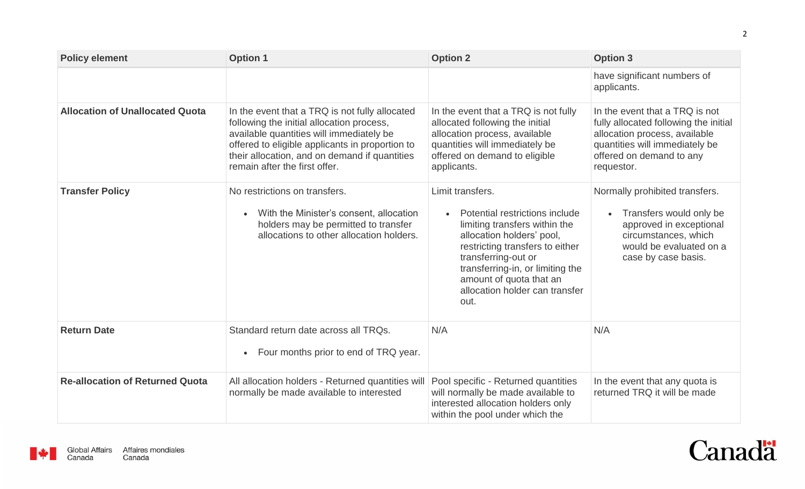| <b>Policy element</b>                  | <b>Option 1</b>                                                                                                                                                                                                                                                              | <b>Option 2</b>                                                                                                                                                                                                                                                                     | <b>Option 3</b>                                                                                                                                                                      |
|----------------------------------------|------------------------------------------------------------------------------------------------------------------------------------------------------------------------------------------------------------------------------------------------------------------------------|-------------------------------------------------------------------------------------------------------------------------------------------------------------------------------------------------------------------------------------------------------------------------------------|--------------------------------------------------------------------------------------------------------------------------------------------------------------------------------------|
|                                        |                                                                                                                                                                                                                                                                              |                                                                                                                                                                                                                                                                                     | have significant numbers of<br>applicants.                                                                                                                                           |
| <b>Allocation of Unallocated Quota</b> | In the event that a TRQ is not fully allocated<br>following the initial allocation process,<br>available quantities will immediately be<br>offered to eligible applicants in proportion to<br>their allocation, and on demand if quantities<br>remain after the first offer. | In the event that a TRQ is not fully<br>allocated following the initial<br>allocation process, available<br>quantities will immediately be<br>offered on demand to eligible<br>applicants.                                                                                          | In the event that a TRQ is not<br>fully allocated following the initial<br>allocation process, available<br>quantities will immediately be<br>offered on demand to any<br>requestor. |
| <b>Transfer Policy</b>                 | No restrictions on transfers.<br>With the Minister's consent, allocation<br>holders may be permitted to transfer<br>allocations to other allocation holders.                                                                                                                 | Limit transfers.<br>Potential restrictions include<br>limiting transfers within the<br>allocation holders' pool,<br>restricting transfers to either<br>transferring-out or<br>transferring-in, or limiting the<br>amount of quota that an<br>allocation holder can transfer<br>out. | Normally prohibited transfers.<br>Transfers would only be<br>$\bullet$<br>approved in exceptional<br>circumstances, which<br>would be evaluated on a<br>case by case basis.          |
| <b>Return Date</b>                     | Standard return date across all TRQs.<br>• Four months prior to end of TRQ year.                                                                                                                                                                                             | N/A                                                                                                                                                                                                                                                                                 | N/A                                                                                                                                                                                  |
| <b>Re-allocation of Returned Quota</b> | All allocation holders - Returned quantities will<br>normally be made available to interested                                                                                                                                                                                | Pool specific - Returned quantities<br>will normally be made available to<br>interested allocation holders only<br>within the pool under which the                                                                                                                                  | In the event that any quota is<br>returned TRQ it will be made                                                                                                                       |